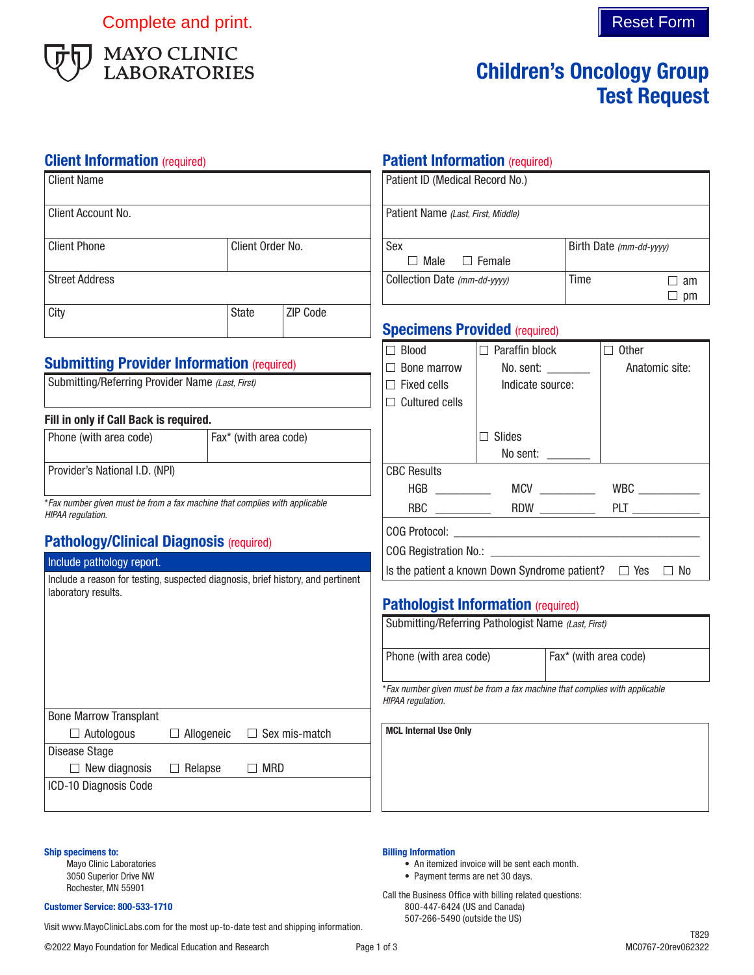Complete and print. Complete and print.



# Children's Oncology Group Test Request

**Patient Information (required)** 

## **Client Information** (required)

| <b>Client Name</b>                                                                                     |                       | Patient ID (Medical Record No.)                                                   |                                                                                                 |                                  |                                |                                                                    |  |
|--------------------------------------------------------------------------------------------------------|-----------------------|-----------------------------------------------------------------------------------|-------------------------------------------------------------------------------------------------|----------------------------------|--------------------------------|--------------------------------------------------------------------|--|
| Client Account No.                                                                                     |                       | Patient Name (Last, First, Middle)                                                |                                                                                                 |                                  |                                |                                                                    |  |
| <b>Client Phone</b>                                                                                    | Client Order No.      |                                                                                   | Sex<br>$\Box$ Male<br>$\Box$ Female                                                             |                                  |                                | Birth Date (mm-dd-yyyy)                                            |  |
| <b>Street Address</b>                                                                                  |                       | Collection Date (mm-dd-yyyy)                                                      |                                                                                                 | Time                             | $\Box$ am<br>$\Box$ pm         |                                                                    |  |
| City                                                                                                   | <b>State</b>          | ZIP Code                                                                          | <b>Specimens Provided (required)</b>                                                            |                                  |                                |                                                                    |  |
| <b>Submitting Provider Information (required)</b><br>Submitting/Referring Provider Name (Last, First)  |                       | $\Box$ Blood<br>$\Box$ Bone marrow<br>$\Box$ Fixed cells<br>$\Box$ Cultured cells | $\Box$ Paraffin block<br>No. sent: _______<br>Indicate source:                                  |                                  | $\Box$ Other<br>Anatomic site: |                                                                    |  |
| Fill in only if Call Back is required.<br>Phone (with area code)                                       | Fax* (with area code) |                                                                                   |                                                                                                 | $\Box$ Slides<br>No sent: $\_\_$ |                                |                                                                    |  |
| Provider's National I.D. (NPI)                                                                         |                       | <b>CBC Results</b>                                                                |                                                                                                 |                                  |                                |                                                                    |  |
| *Fax number given must be from a fax machine that complies with applicable<br>HIPAA regulation.        |                       |                                                                                   |                                                                                                 |                                  |                                |                                                                    |  |
| <b>Pathology/Clinical Diagnosis (required)</b>                                                         |                       |                                                                                   |                                                                                                 |                                  |                                |                                                                    |  |
| Include pathology report.                                                                              |                       |                                                                                   |                                                                                                 |                                  |                                | Is the patient a known Down Syndrome patient? $\Box$ Yes $\Box$ No |  |
| Include a reason for testing, suspected diagnosis, brief history, and pertinent<br>laboratory results. |                       |                                                                                   | <b>Pathologist Information (required)</b>                                                       |                                  |                                |                                                                    |  |
|                                                                                                        |                       |                                                                                   | Submitting/Referring Pathologist Name (Last, First)                                             |                                  |                                |                                                                    |  |
|                                                                                                        |                       |                                                                                   | Phone (with area code)                                                                          | Fax* (with area code)            |                                |                                                                    |  |
|                                                                                                        |                       |                                                                                   | *Fax number given must be from a fax machine that complies with applicable<br>HIPAA regulation. |                                  |                                |                                                                    |  |
| <b>Bone Marrow Transplant</b><br>$\Box$ Autologous<br>Disease Stage                                    | $\Box$ Allogeneic     | $\Box$ Sex mis-match                                                              | <b>MCL Internal Use Only</b>                                                                    |                                  |                                |                                                                    |  |
| $\Box$ New diagnosis<br>$\Box$ Relapse<br>$\Box$ MRD<br>ICD-10 Diagnosis Code                          |                       |                                                                                   |                                                                                                 |                                  |                                |                                                                    |  |
|                                                                                                        |                       |                                                                                   |                                                                                                 |                                  |                                |                                                                    |  |

Ship specimens to:

Mayo Clinic Laboratories 3050 Superior Drive NW Rochester, MN 55901

#### Customer Service: 800-533-1710

Visit www.MayoClinicLabs.com for the most up-to-date test and shipping information.

Billing Information

• An itemized invoice will be sent each month.

• Payment terms are net 30 days. Call the Business Office with billing related questions: 800-447-6424 (US and Canada) 507-266-5490 (outside the US)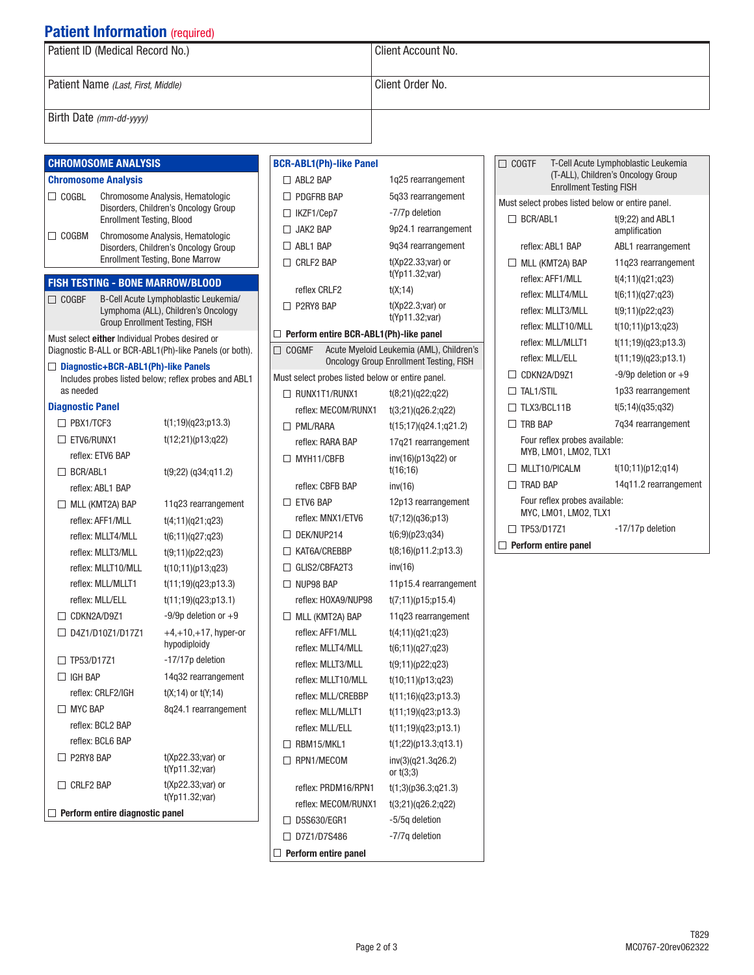# **Patient Information (required)**

| Patient ID (Medical Record No.)    | Client Account No. |
|------------------------------------|--------------------|
| Patient Name (Last, First, Middle) | Client Order No.   |
| Birth Date (mm-dd-yyyy)            |                    |

### CHROMOSOME ANALYSIS

#### Chromosome Analysis

- COGBL Chromosome Analysis, Hematologic Disorders, Children's Oncology Group Enrollment Testing, Blood COGBM Chromosome Analysis, Hematologic
- Disorders, Children's Oncology Group Enrollment Testing, Bone Marrow

### FISH TESTING - BONE MARROW/BLOOD

COGBF B-Cell Acute Lymphoblastic Leukemia/ Lymphoma (ALL), Children's Oncology Group Enrollment Testing, FISH

Must select either Individual Probes desired or Diagnostic B-ALL or BCR-ABL1(Ph)-like Panels (or both).

□ Diagnostic+BCR-ABL1(Ph)-like Panels Includes probes listed below; reflex probes and ABL1 as needed

#### Diagnostic Panel

| $\Box$ PBX1/TCF3                | t(1;19)(q23;p13.3)                      |  |
|---------------------------------|-----------------------------------------|--|
| <b>TETV6/RUNX1</b>              | t(12;21)(p13;q22)                       |  |
| reflex: ETV6 BAP                |                                         |  |
| $\Box$ BCR/ABL1                 | $t(9;22)$ (q34;q11.2)                   |  |
| reflex: ABL1 BAP                |                                         |  |
| $\Box$ MLL (KMT2A) BAP          | 11q23 rearrangement                     |  |
| reflex: AFF1/MLL                | t(4;11)(q21;q23)                        |  |
| reflex: MLLT4/MLL               | t(6;11)(q27;q23)                        |  |
| reflex: MLLT3/MLL               | t(9;11)(p22;q23)                        |  |
| reflex: MLLT10/MLL              | t(10;11)(p13;q23)                       |  |
| reflex: MLL/MLLT1               | t(11;19)(q23;p13.3)                     |  |
| reflex: MLL/ELL                 | t(11;19)(q23;p13.1)                     |  |
| CDKN2A/D9Z1                     | $-9/9p$ deletion or $+9$                |  |
| n<br>D4Z1/D10Z1/D17Z1           | $+4,+10,+17$ , hyper-or<br>hypodiploidy |  |
| TP53/D17Z1<br>$\mathsf{L}$      | -17/17p deletion                        |  |
| $\Box$ IGH BAP                  | 14g32 rearrangement                     |  |
| reflex: CRLF2/IGH               | $t(X; 14)$ or $t(Y; 14)$                |  |
| $\Box$ MYC BAP                  | 8q24.1 rearrangement                    |  |
| reflex: BCL2 BAP                |                                         |  |
| reflex: BCL6 BAP                |                                         |  |
| P2RY8 BAP<br>٦                  | $t(Xp22.33; var)$ or<br>t(Yp11.32;var)  |  |
| $\Box$ CRLF2 BAP                | $t(Xp22.33; var)$ or<br>t(Yp11.32;var)  |  |
| Perform entire diagnostic panel |                                         |  |

| <b>BCR-ABL1(Ph)-like Panel</b>                   |                                                                                            |
|--------------------------------------------------|--------------------------------------------------------------------------------------------|
| $\Box$ ABL2 BAP                                  | 1q25 rearrangement                                                                         |
| $\Box$ PDGFRB BAP                                | 5q33 rearrangement                                                                         |
| $\Box$ IKZF1/Cep7                                | -7/7p deletion                                                                             |
| $\Box$ JAK2 BAP                                  | 9p24.1 rearrangement                                                                       |
| $\Box$ ABL1 BAP                                  | 9q34 rearrangement                                                                         |
| $\Box$ CRLF2 BAP                                 | $t(Xp22.33; var)$ or<br>t(Yp11.32;var)                                                     |
| reflex CRLF2                                     | t(X; 14)                                                                                   |
| $\Box$ P2RY8 BAP                                 | $t(Xp22.3; var)$ or<br>t(Yp11.32;var)                                                      |
| $\Box$ Perform entire BCR-ABL1(Ph)-like panel    |                                                                                            |
| $\Box$ cogme                                     | Acute Myeloid Leukemia (AML), Children's<br><b>Oncology Group Enrollment Testing, FISH</b> |
| Must select probes listed below or entire panel. |                                                                                            |
| $\Box$ RUNX1T1/RUNX1                             | t(8;21)(q22;q22)                                                                           |
| reflex: MECOM/RUNX1                              | t(3;21)(q26.2;q22)                                                                         |
| <b>D</b> PML/RARA                                | t(15;17)(q24.1;q21.2)                                                                      |
| reflex: RARA BAP                                 | 17q21 rearrangement                                                                        |
| $\Box$ MYH11/CBFB                                | inv(16)(p13q22) or<br>t(16;16)                                                             |
| reflex: CBFB BAP                                 | inv(16)                                                                                    |
| $\Box$ ETV6 BAP                                  | 12p13 rearrangement                                                                        |
| reflex: MNX1/ETV6                                | t(7;12)(q36;p13)                                                                           |
| $\Box$ DEK/NUP214                                | t(6,9)(p23, q34)                                                                           |
| $\Box$ KAT6A/CREBBP                              | t(8;16)(p11.2;p13.3)                                                                       |
| $\Box$ GLIS2/CBFA2T3                             | inv(16)                                                                                    |
| $\Box$ NUP98 BAP                                 | 11p15.4 rearrangement                                                                      |
| reflex: HOXA9/NUP98                              | t(7;11)(p15;p15.4)                                                                         |
| $\Box$ MLL (KMT2A) BAP                           | 11q23 rearrangement                                                                        |
| reflex: AFF1/MLL                                 | t(4;11)(q21;q23)                                                                           |
| reflex: MLLT4/MLL                                | t(6;11)(q27;q23)                                                                           |
| reflex: MLLT3/MLL                                | t(9;11)(p22;q23)                                                                           |
| reflex: MLLT10/MLL                               | t(10;11)(p13;q23)                                                                          |
| reflex: MLL/CREBBP                               | t(11;16)(q23;p13.3)                                                                        |
| reflex: MLL/MLLT1                                | t(11;19)(q23;p13.3)                                                                        |
| reflex: MLL/ELL                                  | t(11;19)(q23;p13.1)                                                                        |
| $\Box$ RBM15/MKL1                                | t(1;22)(p13.3;q13.1)                                                                       |
| $\Box$ RPN1/MECOM                                | inv(3)(q21.3q26.2)<br>or $t(3;3)$                                                          |
| reflex: PRDM16/RPN1                              | t(1;3)(p36.3;q21.3)                                                                        |
| reflex: MECOM/RUNX1                              | t(3;21)(q26.2;q22)                                                                         |
| $\Box$ D5S630/EGR1                               | -5/5q deletion                                                                             |
| □ D7Z1/D7S486                                    | -7/7q deletion                                                                             |
| Perform entire panel                             |                                                                                            |
|                                                  |                                                                                            |

| <b>COGTF</b><br><b>Enrollment Testing FISH</b>         | T-Cell Acute Lymphoblastic Leukemia<br>(T-ALL), Children's Oncology Group |
|--------------------------------------------------------|---------------------------------------------------------------------------|
| Must select probes listed below or entire panel.       |                                                                           |
| $\Box$ BCR/ABL1                                        | $t(9;22)$ and ABL1<br>amplification                                       |
| reflex ARI 1 RAP                                       | ABL1 rearrangement                                                        |
| MLL (KMT2A) BAP<br>$\mathsf{L}$                        | 11g23 rearrangement                                                       |
| reflex: AFF1/MII                                       | t(4;11)(q21;q23)                                                          |
| reflex: MLLT4/MLL                                      | t(6;11)(q27;q23)                                                          |
| reflex: MI I T3/MI I                                   | t(9;11)(p22;q23)                                                          |
| reflex: MLLT10/MLL                                     | t(10;11)(p13;q23)                                                         |
| reflex: MLL/MLLT1                                      | t(11;19)(q23;p13.3)                                                       |
| reflex: MI I /FI I                                     | t(11;19)(q23;p13.1)                                                       |
| CDKN2A/D971                                            | $-9/9p$ deletion or $+9$                                                  |
| $\sqcap$ tai 1/stii                                    | 1p33 rearrangement                                                        |
| T TI X3/BCI 11B                                        | t(5;14)(q35;q32)                                                          |
| $\Box$ TRR BAP                                         | 7g34 rearrangement                                                        |
| Four reflex probes available:<br>MYB, LMO1, LMO2, TLX1 |                                                                           |
| MLLT10/PICALM                                          | t(10;11)(p12;q14)                                                         |
| <b>TRAD BAP</b>                                        | 14g11.2 rearrangement                                                     |
| Four reflex probes available:<br>MYC, LM01, LM02, TLX1 |                                                                           |
| TP53/D17Z1                                             | -17/17p deletion                                                          |
| Perform entire panel                                   |                                                                           |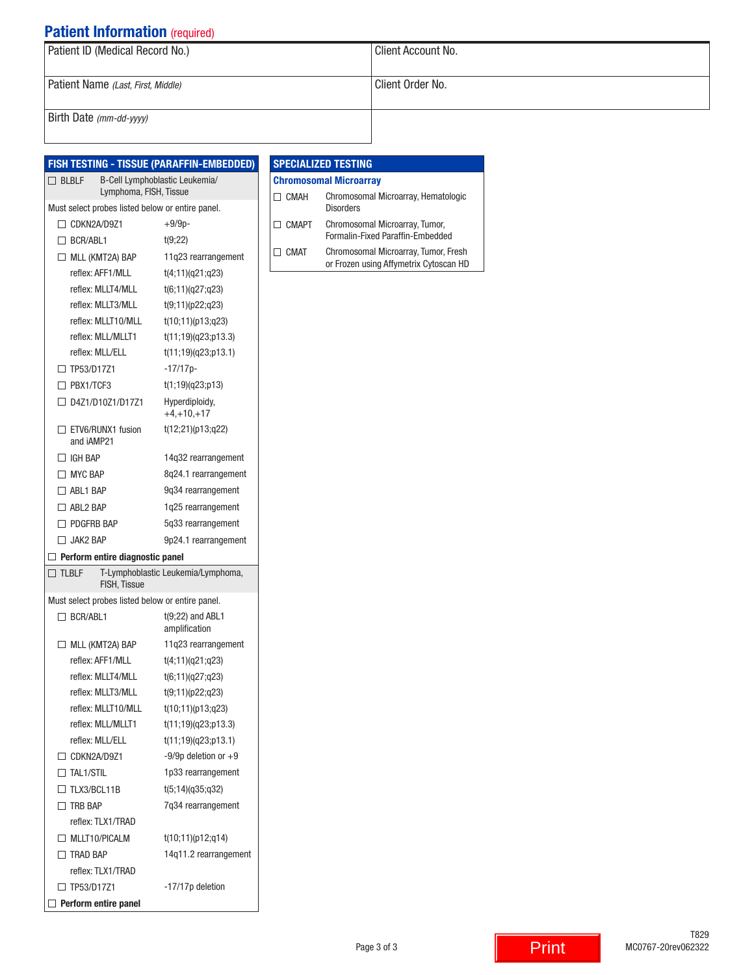# **Patient Information** (required)

| Patient ID (Medical Record No.)    | Client Account No. |  |
|------------------------------------|--------------------|--|
| Patient Name (Last, First, Middle) | Client Order No.   |  |
| Birth Date (mm-dd-yyyy)            |                    |  |

|                 |                                                  | <b>FISH TESTING - TISSUE (PARAFFIN-EMBEDDED)</b> | <b>SPE</b> |
|-----------------|--------------------------------------------------|--------------------------------------------------|------------|
| $\Box$ BLBLF    |                                                  | B-Cell Lymphoblastic Leukemia/                   | Chro       |
|                 | Lymphoma, FISH, Tissue                           |                                                  | $\Box$ C   |
|                 | Must select probes listed below or entire panel. |                                                  |            |
|                 | $\Box$ CDKN2A/D9Z1                               | $+9/9p-$                                         | Πc         |
|                 | $\Box$ BCR/ABL1                                  | t(9;22)                                          | ПC         |
|                 | $\Box$ MLL (KMT2A) BAP                           | 11q23 rearrangement                              |            |
|                 | reflex: AFF1/MLL                                 | t(4;11)(q21;q23)                                 |            |
|                 | reflex: MLLT4/MLL                                | t(6;11)(q27;q23)                                 |            |
|                 | reflex: MLLT3/MLL                                | t(9;11)(p22;q23)                                 |            |
|                 | reflex: MLLT10/MLL                               | t(10;11)(p13;q23)                                |            |
|                 | reflex: MLL/MLLT1                                | t(11;19)(q23;p13.3)                              |            |
|                 | reflex: MLL/ELL                                  | t(11;19)(q23;p13.1)                              |            |
|                 | $\Box$ TP53/D17Z1                                | $-17/17p-$                                       |            |
|                 | $\Box$ PBX1/TCF3                                 | t(1;19)(q23;p13)                                 |            |
|                 | □ D4Z1/D10Z1/D17Z1                               | Hyperdiploidy,<br>$+4, +10, +17$                 |            |
|                 | $\Box$ ETV6/RUNX1 fusion<br>and iAMP21           | t(12;21)(p13;q22)                                |            |
|                 | $\Box$ IGH BAP                                   | 14q32 rearrangement                              |            |
|                 | $\Box$ MYC BAP                                   | 8q24.1 rearrangement                             |            |
|                 | $\Box$ ABL1 BAP                                  | 9q34 rearrangement                               |            |
|                 | $\Box$ ABL2 BAP                                  | 1g25 rearrangement                               |            |
|                 | $\Box$ PDGFRB BAP                                | 5q33 rearrangement                               |            |
|                 | $\Box$ JAK2 BAP                                  | 9p24.1 rearrangement                             |            |
|                 | $\Box$ Perform entire diagnostic panel           |                                                  |            |
| $\square$ tlblf | FISH, Tissue                                     | T-Lymphoblastic Leukemia/Lymphoma,               |            |
|                 | Must select probes listed below or entire panel. |                                                  |            |
|                 | $\Box$ BCR/ABL1                                  | $t(9;22)$ and ABL1<br>amplification              |            |
|                 | $\Box$ MLL (KMT2A) BAP                           | 11q23 rearrangement                              |            |
|                 | reflex: AFF1/MII                                 | t(4;11)(q21;q23)                                 |            |
|                 | reflex: MLLT4/MLL                                | t(6;11)(q27;q23)                                 |            |
|                 | reflex: MLLT3/MLL                                | t(9;11)(p22;q23)                                 |            |
|                 | reflex: MLLT10/MLL                               | t(10;11)(p13;q23)                                |            |
|                 | reflex: MLL/MLLT1                                | t(11;19)(q23;p13.3)                              |            |
|                 | reflex: MLL/ELL                                  | t(11;19)(q23;p13.1)                              |            |
|                 | $\Box$ CDKN2A/D9Z1                               | $-9/9p$ deletion or $+9$                         |            |
|                 | $\Box$ TAL1/STIL                                 | 1p33 rearrangement                               |            |
|                 | $\Box$ TLX3/BCL11B                               | t(5;14)(q35;q32)                                 |            |
|                 | $\Box$ TRB BAP                                   | 7q34 rearrangement                               |            |
|                 | reflex: TLX1/TRAD                                |                                                  |            |
|                 | $\Box$ MLLT10/PICALM                             | t(10;11)(p12;q14)                                |            |
|                 | $\Box$ TRAD BAP                                  | 14q11.2 rearrangement                            |            |
|                 | reflex: TLX1/TRAD                                |                                                  |            |
|                 | $\Box$ TP53/D17Z1                                | -17/17p deletion                                 |            |
|                 | $\Box$ Perform entire panel                      |                                                  |            |

#### CIALIZED TESTING **Omosomal Microarray**

| ] CMAH | Chromosomal Microarray, Hematologic<br><b>Disorders</b>                        |
|--------|--------------------------------------------------------------------------------|
| CMAPT  | Chromosomal Microarray, Tumor,<br>Formalin-Fixed Paraffin-Embedded             |
| I CMAT | Chromosomal Microarray, Tumor, Fresh<br>or Frozen using Affymetrix Cytoscan HD |